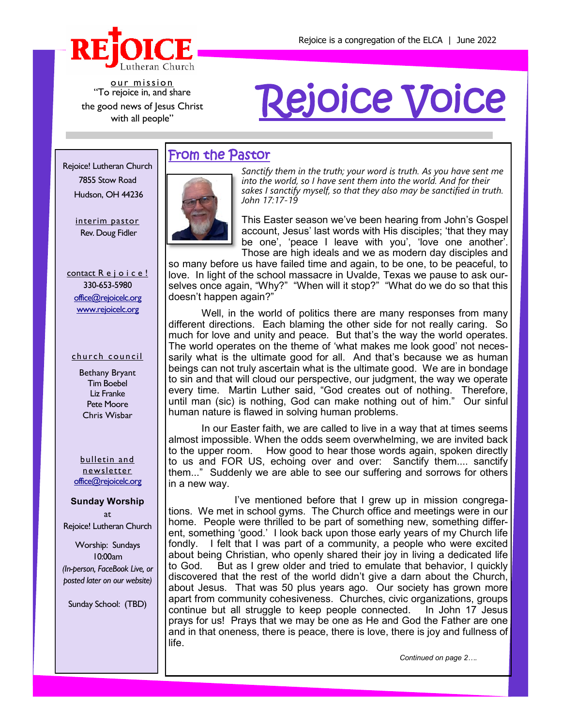

our mission "To rejoice in, and share the good news of Jesus Christ with all people"

# Rejoice Voice

#### Rejoice! Lutheran Church 7855 Stow Road Hudson, OH 44236

interim pastor Rev. Doug Fidler

contact R e j o i c e! 330-653-5980 [office@rejoicelc.org](mailto:office@rejoicelc.org) [www.rejoicelc.org](http://www.rejoicelc.org)

#### church council

Bethany Bryant Tim Boebel Liz Franke Pete Moore Chris Wisbar

bulletin and newsletter [office@rejoicelc.org](mailto:office@rejoicelc.org)

#### **Sunday Worship**

at Rejoice! Lutheran Church

Worship: Sundays 10:00am *(In-person, FaceBook Live, or posted later on our website)*

Sunday School: (TBD)

#### From the Pastor



*Sanctify them in the truth; your word is truth. As you have sent me into the world, so I have sent them into the world. And for their sakes I sanctify myself, so that they also may be sanctified in truth. John 17:17-19*

This Easter season we've been hearing from John's Gospel account, Jesus' last words with His disciples; 'that they may be one', 'peace I leave with you', 'love one another'. Those are high ideals and we as modern day disciples and

so many before us have failed time and again, to be one, to be peaceful, to love. In light of the school massacre in Uvalde, Texas we pause to ask ourselves once again, "Why?" "When will it stop?" "What do we do so that this doesn't happen again?"

Well, in the world of politics there are many responses from many different directions. Each blaming the other side for not really caring. So much for love and unity and peace. But that's the way the world operates. The world operates on the theme of 'what makes me look good' not necessarily what is the ultimate good for all. And that's because we as human beings can not truly ascertain what is the ultimate good. We are in bondage to sin and that will cloud our perspective, our judgment, the way we operate every time. Martin Luther said, "God creates out of nothing. Therefore, until man (sic) is nothing, God can make nothing out of him." Our sinful human nature is flawed in solving human problems.

In our Easter faith, we are called to live in a way that at times seems almost impossible. When the odds seem overwhelming, we are invited back to the upper room. How good to hear those words again, spoken directly to us and FOR US, echoing over and over: Sanctify them.... sanctify them..." Suddenly we are able to see our suffering and sorrows for others in a new way.

I've mentioned before that I grew up in mission congregations. We met in school gyms. The Church office and meetings were in our home. People were thrilled to be part of something new, something different, something 'good.' I look back upon those early years of my Church life fondly. I felt that I was part of a community, a people who were excited about being Christian, who openly shared their joy in living a dedicated life to God. But as I grew older and tried to emulate that behavior, I quickly discovered that the rest of the world didn't give a darn about the Church, about Jesus. That was 50 plus years ago. Our society has grown more apart from community cohesiveness. Churches, civic organizations, groups continue but all struggle to keep people connected. In John 17 Jesus prays for us! Prays that we may be one as He and God the Father are one and in that oneness, there is peace, there is love, there is joy and fullness of life.

*Continued on page 2….*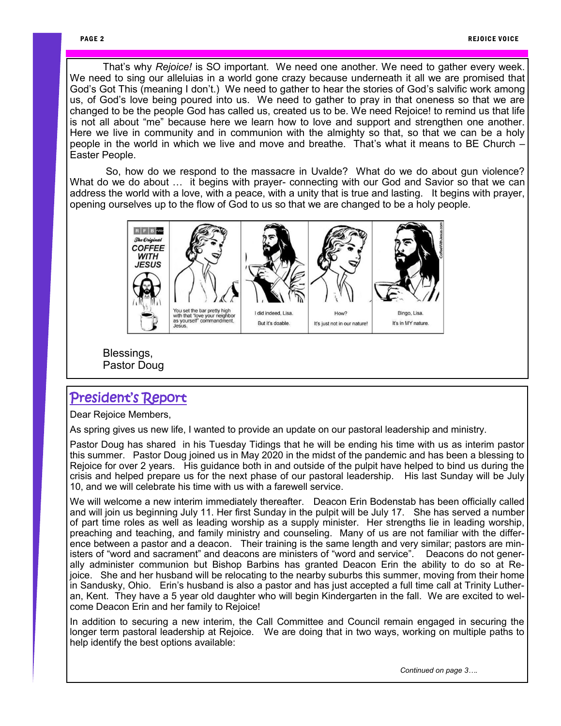That's why *Rejoice!* is SO important. We need one another. We need to gather every week. We need to sing our alleluias in a world gone crazy because underneath it all we are promised that God's Got This (meaning I don't.) We need to gather to hear the stories of God's salvific work among us, of God's love being poured into us. We need to gather to pray in that oneness so that we are changed to be the people God has called us, created us to be. We need Rejoice! to remind us that life is not all about "me" because here we learn how to love and support and strengthen one another. Here we live in community and in communion with the almighty so that, so that we can be a holy people in the world in which we live and move and breathe. That's what it means to BE Church – Easter People.

So, how do we respond to the massacre in Uvalde? What do we do about gun violence? What do we do about … it begins with prayer- connecting with our God and Savior so that we can address the world with a love, with a peace, with a unity that is true and lasting. It begins with prayer, opening ourselves up to the flow of God to us so that we are changed to be a holy people.



Blessings, Pastor Doug

### President's Report

Dear Rejoice Members,

As spring gives us new life, I wanted to provide an update on our pastoral leadership and ministry.

Pastor Doug has shared in his Tuesday Tidings that he will be ending his time with us as interim pastor this summer. Pastor Doug joined us in May 2020 in the midst of the pandemic and has been a blessing to Rejoice for over 2 years. His guidance both in and outside of the pulpit have helped to bind us during the crisis and helped prepare us for the next phase of our pastoral leadership. His last Sunday will be July 10, and we will celebrate his time with us with a farewell service.

We will welcome a new interim immediately thereafter. Deacon Erin Bodenstab has been officially called and will join us beginning July 11. Her first Sunday in the pulpit will be July 17. She has served a number of part time roles as well as leading worship as a supply minister. Her strengths lie in leading worship, preaching and teaching, and family ministry and counseling. Many of us are not familiar with the difference between a pastor and a deacon. Their training is the same length and very similar; pastors are ministers of "word and sacrament" and deacons are ministers of "word and service". Deacons do not generally administer communion but Bishop Barbins has granted Deacon Erin the ability to do so at Rejoice. She and her husband will be relocating to the nearby suburbs this summer, moving from their home in Sandusky, Ohio. Erin's husband is also a pastor and has just accepted a full time call at Trinity Lutheran, Kent. They have a 5 year old daughter who will begin Kindergarten in the fall. We are excited to welcome Deacon Erin and her family to Rejoice!

In addition to securing a new interim, the Call Committee and Council remain engaged in securing the longer term pastoral leadership at Rejoice. We are doing that in two ways, working on multiple paths to help identify the best options available:

*Continued on page 3….*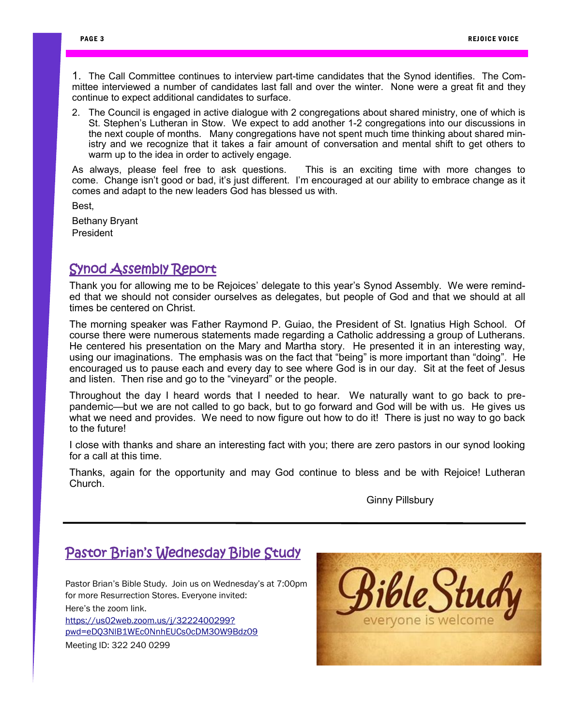1. The Call Committee continues to interview part-time candidates that the Synod identifies. The Committee interviewed a number of candidates last fall and over the winter. None were a great fit and they continue to expect additional candidates to surface.

2. The Council is engaged in active dialogue with 2 congregations about shared ministry, one of which is St. Stephen's Lutheran in Stow. We expect to add another 1-2 congregations into our discussions in the next couple of months. Many congregations have not spent much time thinking about shared ministry and we recognize that it takes a fair amount of conversation and mental shift to get others to warm up to the idea in order to actively engage.

As always, please feel free to ask questions. This is an exciting time with more changes to come. Change isn't good or bad, it's just different. I'm encouraged at our ability to embrace change as it comes and adapt to the new leaders God has blessed us with.

Best,

Bethany Bryant **President** 

### Synod Assembly Report

Thank you for allowing me to be Rejoices' delegate to this year's Synod Assembly. We were reminded that we should not consider ourselves as delegates, but people of God and that we should at all times be centered on Christ.

The morning speaker was Father Raymond P. Guiao, the President of St. Ignatius High School. Of course there were numerous statements made regarding a Catholic addressing a group of Lutherans. He centered his presentation on the Mary and Martha story. He presented it in an interesting way, using our imaginations. The emphasis was on the fact that "being" is more important than "doing". He encouraged us to pause each and every day to see where God is in our day. Sit at the feet of Jesus and listen. Then rise and go to the "vineyard" or the people.

Throughout the day I heard words that I needed to hear. We naturally want to go back to prepandemic—but we are not called to go back, but to go forward and God will be with us. He gives us what we need and provides. We need to now figure out how to do it! There is just no way to go back to the future!

I close with thanks and share an interesting fact with you; there are zero pastors in our synod looking for a call at this time.

Thanks, again for the opportunity and may God continue to bless and be with Rejoice! Lutheran Church.

Ginny Pillsbury

## Pastor Brian's Wednesday Bible Study

Pastor Brian's Bible Study. Join us on Wednesday's at 7:00pm for more Resurrection Stores. Everyone invited: Here's the zoom link.

[https://us02web.zoom.us/j/3222400299?](https://us02web.zoom.us/j/3222400299?pwd=eDQ3NlB1WEc0NnhEUCs0cDM3OW9Bdz09) [pwd=eDQ3NlB1WEc0NnhEUCs0cDM3OW9Bdz09](https://us02web.zoom.us/j/3222400299?pwd=eDQ3NlB1WEc0NnhEUCs0cDM3OW9Bdz09) Meeting ID: 322 240 0299

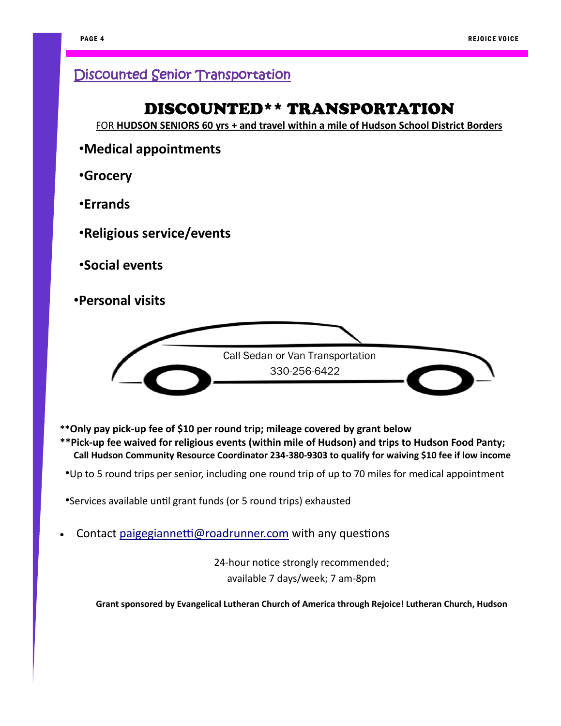## Discounted Senior Transportation

## DISCOUNTED\*\* TRANSPORTATION

FOR **HUDSON SENIORS 60 yrs + and travel within a mile of Hudson School District Borders**

- •**Medical appointments**
- •**Grocery**
- •**Errands**
- •**Religious service/events**
- •**Social events**
- •**Personal visits**



- **\*\*Only pay pick-up fee of \$10 per round trip; mileage covered by grant below**
- **\*\*Pick-up fee waived for religious events (within mile of Hudson) and trips to Hudson Food Panty; Call Hudson Community Resource Coordinator 234-380-9303 to qualify for waiving \$10 fee if low income**
- •Up to 5 round trips per senior, including one round trip of up to 70 miles for medical appointment
- •Services available until grant funds (or 5 round trips) exhausted
- Contact [paigegiannetti@roadrunner.com](mailto:paigegiannetti@roadrunner.com) with any questions

24-hour notice strongly recommended; available 7 days/week; 7 am-8pm

**Grant sponsored by Evangelical Lutheran Church of America through Rejoice! Lutheran Church, Hudson**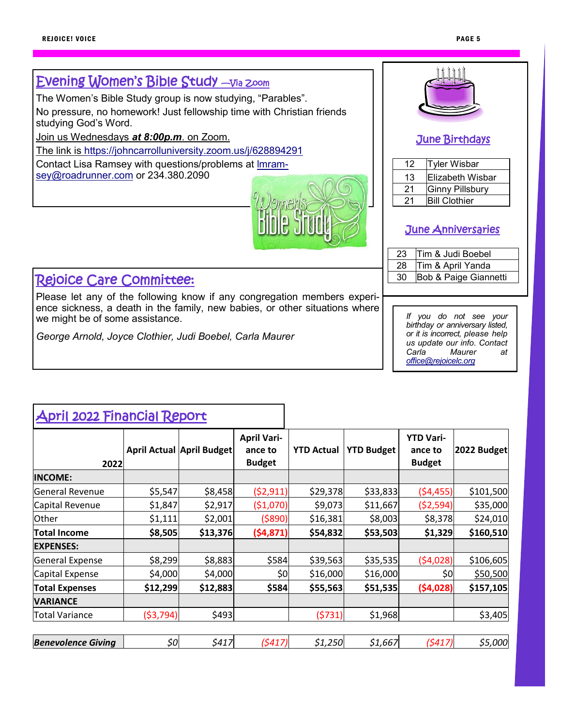#### June Birthdays April 2022 Financial Report *If you do not see your birthday or anniversary listed, or it is incorrect, please help us update our info. Contact Carla Maurer at [office@rejoicelc.org](mailto:office@rejoicelc.org)* Evening Women's Bible Study —Via Zoom The Women's Bible Study group is now studying, "Parables". No pressure, no homework! Just fellowship time with Christian friends studying God's Word. Join us Wednesdays *at 8:00p.m*. on Zoom. The link is <https://johncarrolluniversity.zoom.us/j/628894291> Contact Lisa Ramsey with questions/problems at [lmram](mailto:lmramsey@roadrunner.com)[sey@roadrunner.com](mailto:lmramsey@roadrunner.com) or 234.380.2090 Rejoice Care Committee: Please let any of the following know if any congregation members experience sickness, a death in the family, new babies, or other situations where we might be of some assistance. *George Arnold, Joyce Clothier, Judi Boebel, Carla Maurer* June Anniversaries 12 Tyler Wisbar 13 Elizabeth Wisbar 21 Ginny Pillsbury 21 **Bill Clothier** 23 Tim & Judi Boebel 28 Tim & April Yanda 30 Bob & Paige Giannetti **2022 April Actual April Budget April Variance to Budget YTD Actual YTD Budget YTD Variance to Budget 2022 Budget INCOME:** General Revenue \$5,547 \$8,458 (\$2,911) \$29,378 \$33,833 (\$4,455) \$101,500 Capital Revenue \$1,847 \$2,917 (\$1,070) \$9,073 \$11,667 (\$2,594) \$35,000 Other \$1,111 \$2,001 (\$890) \$16,381 \$8,003 \$8,378 \$24,010 **Total Income \$8,505 \$13,376 (\$4,871) \$54,832 \$53,503 \$1,329 \$160,510 EXPENSES:** General Expense | \$8,299| \$8,883| \$584| \$39,563| \$35,535| (\$4,028)| \$106,605  $|$ Capital Expense  $|$  \$4,000 $|$  \$4,000 $|$  \$0 \$0 \$16,000 \$16,000 \$0 \$0 \$50,500 **Total Expenses \$12,299 \$12,883 \$584 \$55,563 \$51,535 (\$4,028) \$157,105 VARIANCE**

*Benevolence Giving \$0 \$417 (\$417) \$1,250 \$1,667 (\$417) \$5,000* 

Total Variance  $($ \$3,794) \$493 \$493 (\$731) \$1,968 \ \$3,405